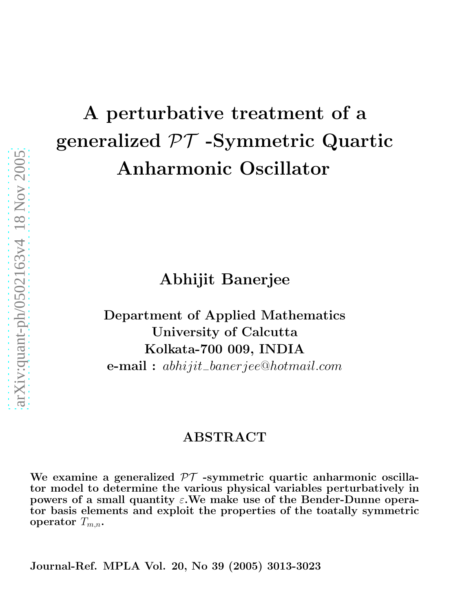# A perturbative treatment of a generalized  $\mathcal{PT}$  -Symmetric Quartic Anharmonic Oscillator

Abhijit Banerjee

Department of Applied Mathematics University of Calcutta Kolkata-700 009, INDIA e-mail : abhijit−banerjee@hotmail.com

## ABSTRACT

We examine a generalized  $\mathcal{PT}$  -symmetric quartic anharmonic oscillator model to determine the various physical variables perturbatively in powers of a small quantity  $\varepsilon$ . We make use of the Bender-Dunne operator basis elements and exploit the properties of the toatally symmetric operator  $T_{m,n}$ .

Journal-Ref. MPLA Vol. 20, No 39 (2005) 3013-3023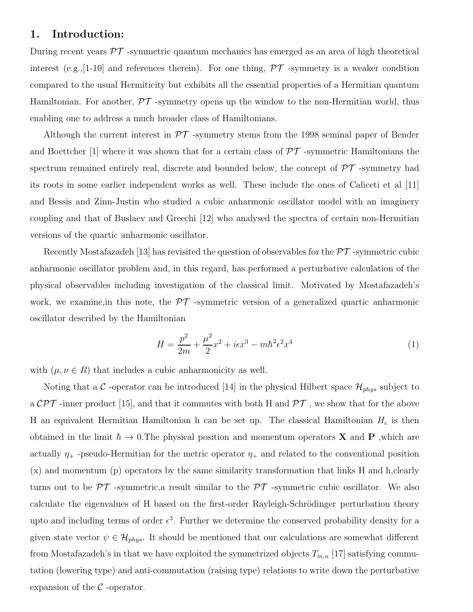## 1. Introduction:

During recent years  $\mathcal{PT}$  -symmetric quantum mechanics has emerged as an area of high theoretical interest (e.g., [1-10] and references therein). For one thing,  $\mathcal{PT}$  -symmetry is a weaker condition compared to the usual Hermiticity but exhibits all the essential properties of a Hermitian quantum Hamiltonian. For another,  $\mathcal{PT}$  -symmetry opens up the window to the non-Hermitian world, thus enabling one to address a much broader class of Hamiltonians.

Although the current interest in  $\mathcal{PT}$  -symmetry stems from the 1998 seminal paper of Bender and Boettcher [1] where it was shown that for a certain class of  $\mathcal{PT}$  -symmetric Hamiltonians the spectrum remained entirely real, discrete and bounded below, the concept of  $\mathcal{PT}$  -symmetry had its roots in some earlier independent works as well. These include the ones of Caliceti et al [11] and Bessis and Zinn-Justin who studied a cubic anharmonic oscillator model with an imaginery coupling and that of Buslaev and Greechi [12] who analysed the spectra of certain non-Hermitian versions of the quartic anharmonic oscillator.

Recently Mostafazadeh [13] has revisited the question of observables for the  $\mathcal{PT}$ -symmetric cubic anharmonic oscillator problem and, in this regard, has performed a perturbative calculation of the physical observables including investigation of the classical limit. Motivated by Mostafazadeh's work, we examine, in this note, the  $\mathcal{PT}$  -symmetric version of a generalized quartic anharmonic oscillator described by the Hamiltonian

$$
H = \frac{p^2}{2m} + \frac{\mu^2}{2}x^2 + i\epsilon x^3 - m\hbar^2 \epsilon^2 x^4
$$
 (1)

with  $(\mu, \nu \in R)$  that includes a cubic anharmonicity as well.

Noting that a C-operator can be introduced [14] in the physical Hilbert space  $\mathcal{H}_{phys}$  subject to a  $\mathcal{CPT}$  -inner product [15], and that it commutes with both H and  $\mathcal{PT}$ , we show that for the above H an equivalent Hermitian Hamiltonian h can be set up. The classical Hamiltonian  $H_c$  is then obtained in the limit  $\hbar \to 0$ . The physical position and momentum operators **X** and **P**, which are actually  $\eta_+$  -pseudo-Hermitian for the metric operator  $\eta_+$  and related to the conventional position (x) and momentum (p) operators by the same similarity transformation that links H and h,clearly turns out to be  $\mathcal{PT}$  -symmetric, a result similar to the  $\mathcal{PT}$  -symmetric cubic oscillator. We also calculate the eigenvalues of H based on the first-order Rayleigh-Schrödinger perturbation theory upto and including terms of order  $\epsilon^3$ . Further we determine the conserved probability density for a given state vector  $\psi \in \mathcal{H}_{phys}$ . It should be mentioned that our calculations are somewhat different from Mostafazadeh's in that we have exploited the symmetrized objects  $T_{m,n}$  [17] satisfying commutation (lowering type) and anti-commutation (raising type) relations to write down the perturbative expansion of the  $\mathcal C$ -operator.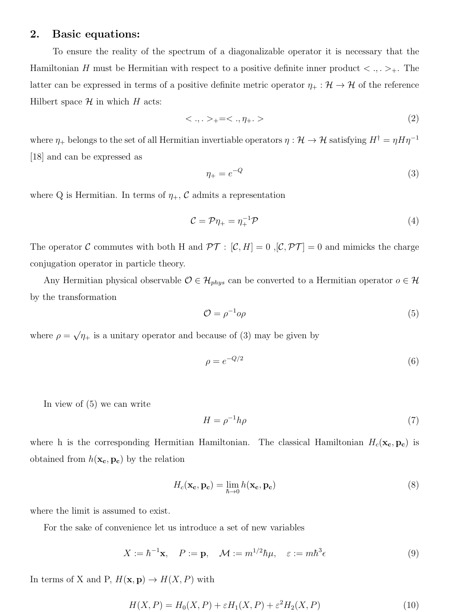### 2. Basic equations:

To ensure the reality of the spectrum of a diagonalizable operator it is necessary that the Hamiltonian H must be Hermitian with respect to a positive definite inner product  $\langle , , \rangle_+$ . The latter can be expressed in terms of a positive definite metric operator  $\eta_+ : \mathcal{H} \to \mathcal{H}$  of the reference Hilbert space  $\mathcal H$  in which  $H$  acts:

$$
\langle \, . \, , \, . \, \rangle_{+} = \langle \, . \, , \eta_{+} \, . \, \rangle \tag{2}
$$

where  $\eta_+$  belongs to the set of all Hermitian invertiable operators  $\eta: \mathcal{H} \to \mathcal{H}$  satisfying  $H^{\dagger} = \eta H \eta^{-1}$ [18] and can be expressed as

$$
\eta_+ = e^{-Q} \tag{3}
$$

where Q is Hermitian. In terms of  $\eta_+$ , C admits a representation

$$
\mathcal{C} = \mathcal{P}\eta_+ = \eta_+^{-1}\mathcal{P} \tag{4}
$$

The operator C commutes with both H and  $\mathcal{PT} : [\mathcal{C}, H] = 0, [\mathcal{C}, \mathcal{PT}] = 0$  and mimicks the charge conjugation operator in particle theory.

Any Hermitian physical observable  $\mathcal{O} \in \mathcal{H}_{phys}$  can be converted to a Hermitian operator  $o \in \mathcal{H}$ by the transformation

$$
\mathcal{O} = \rho^{-1} o \rho \tag{5}
$$

where  $\rho = \sqrt{\eta_+}$  is a unitary operator and because of (3) may be given by

$$
\rho = e^{-Q/2} \tag{6}
$$

In view of (5) we can write

$$
H = \rho^{-1}h\rho \tag{7}
$$

where h is the corresponding Hermitian Hamiltonian. The classical Hamiltonian  $H_c(\mathbf{x_c}, \mathbf{p_c})$  is obtained from  $h(\mathbf{x_c}, \mathbf{p_c})$  by the relation

$$
H_c(\mathbf{x_c}, \mathbf{p_c}) = \lim_{\hbar \to 0} h(\mathbf{x_c}, \mathbf{p_c})
$$
\n(8)

where the limit is assumed to exist.

For the sake of convenience let us introduce a set of new variables

$$
X := \hbar^{-1} \mathbf{x}, \quad P := \mathbf{p}, \quad \mathcal{M} := m^{1/2} \hbar \mu, \quad \varepsilon := m \hbar^3 \epsilon \tag{9}
$$

In terms of X and P,  $H(\mathbf{x}, \mathbf{p}) \to H(X, P)$  with

$$
H(X, P) = H_0(X, P) + \varepsilon H_1(X, P) + \varepsilon^2 H_2(X, P)
$$
\n<sup>(10)</sup>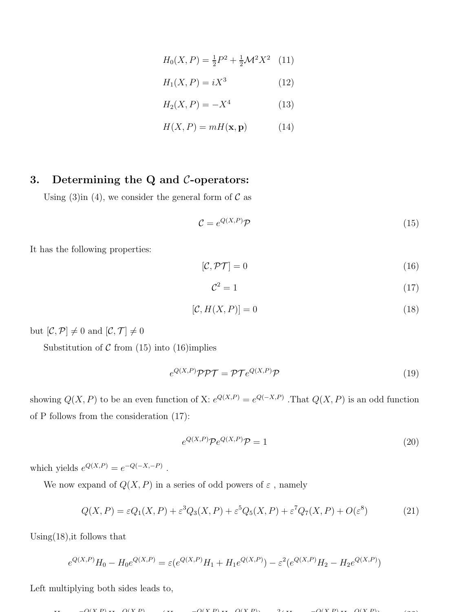$$
H_0(X, P) = \frac{1}{2}P^2 + \frac{1}{2}\mathcal{M}^2 X^2 \quad (11)
$$

$$
H_1(X, P) = iX^3 \tag{12}
$$

$$
H_2(X, P) = -X^4
$$
 (13)

$$
H(X, P) = mH(\mathbf{x}, \mathbf{p})\tag{14}
$$

# 3. Determining the  $Q$  and  $C$ -operators:

Using (3)in (4), we consider the general form of  $\mathcal C$  as

$$
\mathcal{C} = e^{Q(X,P)} \mathcal{P} \tag{15}
$$

It has the following properties:

$$
[\mathcal{C}, \mathcal{PT}] = 0 \tag{16}
$$

$$
\mathcal{C}^2 = 1\tag{17}
$$

$$
[\mathcal{C}, H(X, P)] = 0 \tag{18}
$$

but  $[\mathcal{C},\mathcal{P}] \neq 0$  and  $[\mathcal{C},\mathcal{T}] \neq 0$ 

Substitution of  $C$  from (15) into (16)implies

$$
e^{Q(X,P)}\mathcal{P}\mathcal{P}\mathcal{T} = \mathcal{P}\mathcal{T}e^{Q(X,P)}\mathcal{P}
$$
\n(19)

showing  $Q(X, P)$  to be an even function of X:  $e^{Q(X, P)} = e^{Q(-X, P)}$ . That  $Q(X, P)$  is an odd function of P follows from the consideration (17):

$$
e^{Q(X,P)}\mathcal{P}e^{Q(X,P)}\mathcal{P} = 1
$$
\n(20)

which yields  $e^{Q(X,P)} = e^{-Q(-X,-P)}$ .

We now expand of  $Q(X,P)$  in a series of odd powers of  $\varepsilon$  , namely

$$
Q(X,P) = \varepsilon Q_1(X,P) + \varepsilon^3 Q_3(X,P) + \varepsilon^5 Q_5(X,P) + \varepsilon^7 Q_7(X,P) + O(\varepsilon^8)
$$
\n(21)

Using  $(18)$ , it follows that

$$
e^{Q(X,P)}H_0 - H_0e^{Q(X,P)} = \varepsilon(e^{Q(X,P)}H_1 + H_1e^{Q(X,P)}) - \varepsilon^2(e^{Q(X,P)}H_2 - H_2e^{Q(X,P)})
$$

Left multiplying both sides leads to,

$$
YY = O(X|P)YY = O(X|P) \qquad (XY) = O(X|P)YZ = O(X|P)YZ = O(X|P)YZ = O(X|P)YZ = O(X|P)YZ = O(X|P)YZ = O(X|P)YZ = O(X|P)YZ = O(X|P)YZ = O(X|P)YZ = O(X|P)YZ = O(X|P)YZ = O(X|P)YZ = O(X|P)YZ = O(X|P)YZ = O(X|P)YZ = O(X|P)YZ = O(X|P)YZ = O(X|P)YZ = O(X|P)YZ = O(X|P)YZ = O(X|P)YZ = O(X|P)YZ = O(X|P)YZ = O(X|P)YZ = O(X|P)YZ = O(X|P)YZ = O(X|P)YZ = O(X|P)YZ = O(X|P)YZ = O(X|P)YZ = O(X|P)YZ = O(X|P)YZ = O(X|P)YZ = O(X|P)YZ = O(X|P)YZ = O(X|P)YZ = O(X|P)YZ = O(X|P)YZ = O(X|P)YZ = O(X|P)YZ = O(X|P)YZ = O(X|P)YZ = O(X|P)YZ = O(X|P)YZ = O(X|P)YZ = O(X|P)YZ = O(X|P)YZ = O(X|P)YZ = O(X|P)YZ = O(X|P)YZ = O(X|P)YZ = O(X|P)YZ = O(X|P)YZ = O(X|P)YZ = O(X|P)YZ = O(X|P)YZ = O(X|P)YZ = O(X|P)YZ = O(X|P)YZ = O(X|P)YZ = O(X|P)YZ = O(X|P)YZ = O(X|P)YZ = O(X|P)YZ = O(X|P)YZ = O(X|P)YZ = O(X|P)YZ = O(X|P)YZ = O(X|P)YZ = O(X|P)YZ = O(X|P)YZ = O(X|P)YZ = O(X|P)YZ = O(X|P)YZ = O(X|P)YZ = O(X|P)YZ = O(X|P)YZ = O(X|P)YZ = O(X|P)YZ = O(X|P)YZ = O(X|P)YZ = O(X|P)YZ = O(X|P)YZ = O(X|P)YZ = O(X|P)YZ = O(X|P)YZ = O(X|P)YZ = O(X|P)YZ = O(X|P)Z = O(X|P)Z = O(X|P)Z = O(X|
$$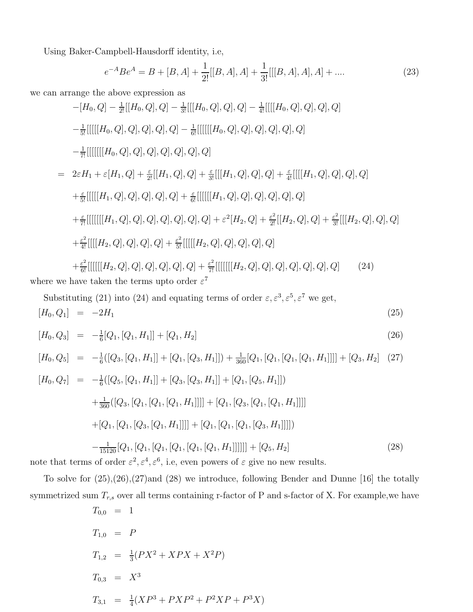Using Baker-Campbell-Hausdorff identity, i.e,

$$
e^{-A}Be^{A} = B + [B, A] + \frac{1}{2!}[[B, A], A] + \frac{1}{3!}[[B, A], A], A] + \dots
$$
\n(23)

we can arrange the above expression as

$$
-[H_0, Q] - \frac{1}{2!}[[H_0, Q], Q] - \frac{1}{3!}[[[H_0, Q], Q], Q] - \frac{1}{4!}[[[H_0, Q], Q], Q], Q], Q]
$$
\n
$$
-\frac{1}{5!}[[[[[H_0, Q], Q], Q], Q], Q], Q] - \frac{1}{6!}[[[[[H_0, Q], Q], Q], Q], Q], Q], Q]
$$
\n
$$
-\frac{1}{7!}[[[[[[H_0, Q], Q], Q], Q], Q], Q] + \frac{\varepsilon}{3!}[[[H_1, Q], Q], Q], Q] + \frac{\varepsilon}{4!}[[[H_1, Q], Q], Q], Q], Q]
$$
\n
$$
+\frac{\varepsilon}{5!}[[[[[H_1, Q], Q], Q], Q], Q] + \frac{\varepsilon}{6!}[[[[[H_1, Q], Q], Q], Q], Q], Q], Q], Q]
$$
\n
$$
+\frac{\varepsilon}{7!}[[[[[[H_1, Q], Q], Q], Q], Q], Q] + \varepsilon^2 [H_2, Q] + \frac{\varepsilon^2}{2!}[[H_2, Q], Q] + \frac{\varepsilon^2}{3!}[[[H_2, Q], Q], Q], Q]
$$
\n
$$
+\frac{\varepsilon^2}{4!}[[[[H_2, Q], Q], Q], Q] + \frac{\varepsilon^2}{5!}[[[[[H_2, Q], Q], Q], Q], Q], Q], Q], Q]
$$
\n
$$
+\frac{\varepsilon^2}{6!}[[[[[H_2, Q], Q], Q], Q], Q] + \frac{\varepsilon^2}{7!}[[[[[[H_2, Q], Q], Q], Q], Q], Q], Q], Q], Q]
$$
\n
$$
(24)
$$

where we have taken the terms upto order  $\varepsilon^7$ 

Substituting (21) into (24) and equating terms of order 
$$
\varepsilon, \varepsilon^3, \varepsilon^5, \varepsilon^7
$$
 we get,  
\n $[H_0, Q_1] = -2H_1$  (25)

$$
[H_0, Q_3] = -\frac{1}{6}[Q_1, [Q_1, H_1]] + [Q_1, H_2]
$$
\n(26)

$$
[H_0, Q_5] = -\frac{1}{6}([Q_3, [Q_1, H_1]] + [Q_1, [Q_3, H_1]]) + \frac{1}{360}[Q_1, [Q_1, [Q_1, [Q_1, H_1]]]] + [Q_3, H_2]
$$
 (27)  
\n
$$
[H_0, Q_7] = -\frac{1}{6}([Q_5, [Q_1, H_1]] + [Q_3, [Q_3, H_1]] + [Q_1, [Q_5, H_1]])
$$
\n
$$
+\frac{1}{360}([Q_3, [Q_1, [Q_1, [Q_1, H_1]]]] + [Q_1, [Q_3, [Q_1, [Q_1, H_1]]]]]
$$
\n
$$
+[Q_1, [Q_1, [Q_3, [Q_1, H_1]]]] + [Q_1, [Q_1, [Q_1, [Q_3, H_1]]]]]
$$
\n
$$
-\frac{1}{15120}[Q_1, [Q_1, [Q_1, [Q_1, [Q_1, [Q_1, H_1]]]]]] + [Q_5, H_2]
$$
 (28)

note that terms of order  $\varepsilon^2$ ,  $\varepsilon^4$ ,  $\varepsilon^6$ , i.e, even powers of  $\varepsilon$  give no new results.

To solve for (25),(26),(27)and (28) we introduce, following Bender and Dunne [16] the totally symmetrized sum  $T_{r,s}$  over all terms containing r-factor of P and s-factor of X. For example, we have

$$
T_{0,0} = 1
$$
  
\n
$$
T_{1,0} = P
$$
  
\n
$$
T_{1,2} = \frac{1}{3}(PX^2 + XPX + X^2P)
$$
  
\n
$$
T_{0,3} = X^3
$$
  
\n
$$
T_{3,1} = \frac{1}{4}(XP^3 + PXP^2 + P^2XP + P^3X)
$$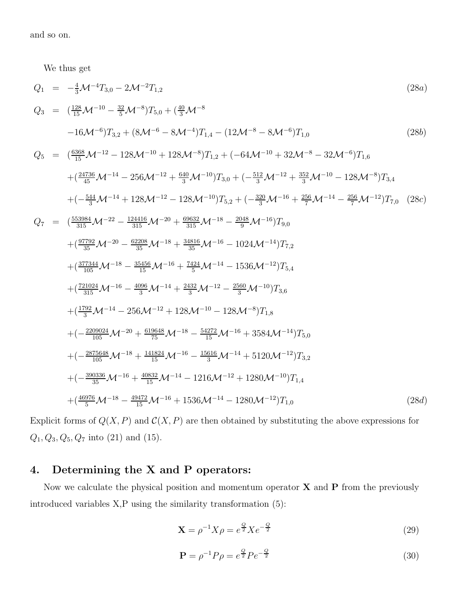and so on.

We thus get

$$
Q_{1} = -\frac{4}{3}M^{-4}T_{3,0} - 2M^{-2}T_{1,2}
$$
\n
$$
Q_{3} = (\frac{128}{15}M^{-10} - \frac{32}{5}M^{-8})T_{5,0} + (\frac{40}{3}M^{-8}M^{-8})
$$
\n
$$
-16M^{-6}T_{3,2} + (8M^{-6} - 8M^{-4})T_{1,4} - (12M^{-8} - 8M^{-6})T_{1,0}
$$
\n
$$
Q_{5} = (\frac{6388}{15}M^{-12} - 128M^{-10} + 128M^{-8})T_{1,2} + (-64M^{-10} + 32M^{-8} - 32M^{-6})T_{1,6}
$$
\n
$$
+ (\frac{24736}{45}M^{-14} - 256M^{-12} + \frac{640}{3}M^{-10})T_{3,0} + (-\frac{512}{3}M^{-12} + \frac{352}{3}M^{-10} - 128M^{-8})T_{3,4}
$$
\n
$$
+ (-\frac{544}{35}M^{-14} + 128M^{-12} - 128M^{-10})T_{5,2} + (-\frac{320}{3}M^{-16} + \frac{256}{7}M^{-14} - \frac{256}{7}M^{-12})T_{7,0}
$$
\n
$$
Q_{7} = (\frac{552984}{315}M^{-22} - \frac{124416}{315}M^{-20} + \frac{69632}{315}M^{-18} - \frac{2048}{9}M^{-16})T_{3,0}
$$
\n
$$
+ (\frac{97792}{35}M^{-20} - \frac{62208}{35}M^{-18} + \frac{34816}{35}M^{-16} - 1024M^{-14})T_{7,2}
$$
\n
$$
+ (\frac{37734}{315}M^{-18} - \frac{35456}{35}M^{-16} + \frac{7424}{35}M^{-14} - 1536M^{-12})T_{5,4}
$$
\n
$$
+ (\frac{721024}{315}M^{-16} - \frac{4096}{3}M^{-14} +
$$

Explicit forms of  $Q(X, P)$  and  $C(X, P)$  are then obtained by substituting the above expressions for  $Q_1, Q_3, Q_5, Q_7$  into (21) and (15).

# 4. Determining the X and P operators:

Now we calculate the physical position and momentum operator  $X$  and  $P$  from the previously introduced variables X,P using the similarity transformation (5):

$$
\mathbf{X} = \rho^{-1} X \rho = e^{\frac{Q}{2}} X e^{-\frac{Q}{2}}
$$
 (29)

$$
\mathbf{P} = \rho^{-1} P \rho = e^{\frac{Q}{2}} P e^{-\frac{Q}{2}}
$$
\n(30)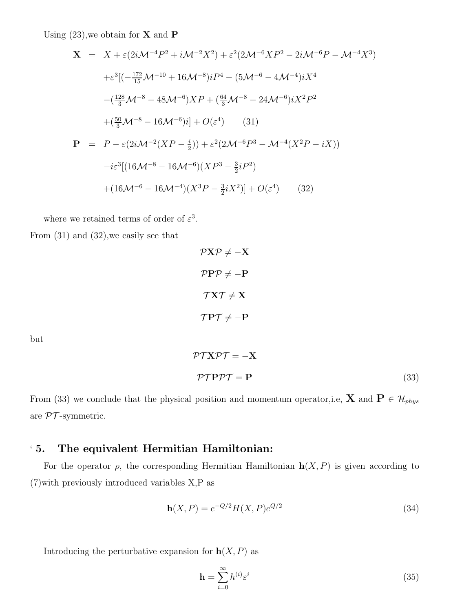Using  $(23)$ , we obtain for **X** and **P** 

$$
\mathbf{X} = X + \varepsilon (2i\mathcal{M}^{-4}P^2 + i\mathcal{M}^{-2}X^2) + \varepsilon^2 (2\mathcal{M}^{-6}XP^2 - 2i\mathcal{M}^{-6}P - \mathcal{M}^{-4}X^3)
$$
  
\n
$$
+ \varepsilon^3 [(-\frac{172}{15}\mathcal{M}^{-10} + 16\mathcal{M}^{-8})iP^4 - (5\mathcal{M}^{-6} - 4\mathcal{M}^{-4})iX^4
$$
  
\n
$$
-(\frac{128}{3}\mathcal{M}^{-8} - 48\mathcal{M}^{-6})XP + (\frac{64}{3}\mathcal{M}^{-8} - 24\mathcal{M}^{-6})iX^2P^2
$$
  
\n
$$
+(\frac{50}{3}\mathcal{M}^{-8} - 16\mathcal{M}^{-6})i] + O(\varepsilon^4)
$$
 (31)  
\n
$$
\mathbf{P} = P - \varepsilon (2i\mathcal{M}^{-2}(XP - \frac{i}{2})) + \varepsilon^2 (2\mathcal{M}^{-6}P^3 - \mathcal{M}^{-4}(X^2P - iX))
$$
  
\n
$$
-i\varepsilon^3 [(16\mathcal{M}^{-8} - 16\mathcal{M}^{-6})(XP^3 - \frac{3}{2}iP^2)
$$
  
\n
$$
+(16\mathcal{M}^{-6} - 16\mathcal{M}^{-4})(X^3P - \frac{3}{2}iX^2)] + O(\varepsilon^4)
$$
 (32)

where we retained terms of order of  $\varepsilon^3$ .

From (31) and (32),we easily see that

$$
\mathcal{P} \mathbf{X} \mathcal{P} \neq -\mathbf{X}
$$
\n
$$
\mathcal{P} \mathbf{P} \mathcal{P} \neq -\mathbf{P}
$$
\n
$$
\mathcal{T} \mathbf{X} \mathcal{T} \neq \mathbf{X}
$$
\n
$$
\mathcal{T} \mathbf{P} \mathcal{T} \neq -\mathbf{P}
$$
\n
$$
\mathcal{P} \mathcal{T} \mathbf{X} \mathcal{P} \mathcal{T} = -\mathbf{X}
$$

but

$$
\mathcal{PTPPT} = \mathbf{P} \tag{33}
$$

From (33) we conclude that the physical position and momentum operator,i.e,  $\mathbf{X}$  and  $\mathbf{P} \in \mathcal{H}_{phys}$ are  $\mathcal{PT}$ -symmetric.

## ' 5. The equivalent Hermitian Hamiltonian:

For the operator  $\rho$ , the corresponding Hermitian Hamiltonian  $h(X, P)$  is given according to (7)with previously introduced variables X,P as

$$
\mathbf{h}(X, P) = e^{-Q/2} H(X, P) e^{Q/2}
$$
\n(34)

Introducing the perturbative expansion for  $h(X, P)$  as

$$
\mathbf{h} = \sum_{i=0}^{\infty} h^{(i)} \varepsilon^i \tag{35}
$$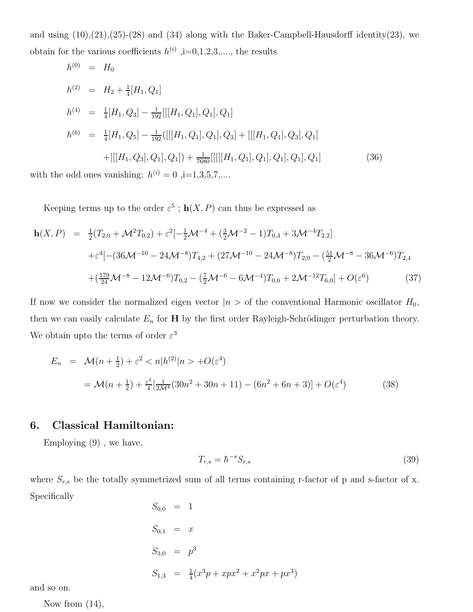and using  $(10),(21),(25)-(28)$  and  $(34)$  along with the Baker-Campbell-Hausdorff identity $(23)$ , we obtain for the various coefficients  $h^{(i)}$ ,  $i=0,1,2,3,...$ , the results

$$
h^{(0)} = H_0
$$
  
\n
$$
h^{(2)} = H_2 + \frac{1}{4}[H_1, Q_1]
$$
  
\n
$$
h^{(4)} = \frac{1}{4}[H_1, Q_3] - \frac{1}{192}[[[H_1, Q_1], Q_1], Q_1]
$$
  
\n
$$
h^{(6)} = \frac{1}{4}[H_1, Q_5] - \frac{1}{192}([[[H_1, Q_1], Q_1], Q_3] + [[[H_1, Q_1], Q_3], Q_1]
$$
  
\n
$$
+[[[H_1, Q_3], Q_1], Q_1]) + \frac{1}{7680}[[[[[H_1, Q_1], Q_1], Q_1], Q_1], Q_1], Q_1]
$$
  
\n6 odd ones, vanishing:  $h^{(i)} = 0$ , i=1,3,5,7

with the odd ones vanishing:  $h^{(i)} = 0$ , i=1,3,5,7,....

Keeping terms up to the order  $\varepsilon^5$ ;  $h(X, P)$  can thus be expressed as

$$
\mathbf{h}(X,P) = \frac{1}{2}(T_{2,0} + \mathcal{M}^2 T_{0,2}) + \varepsilon^2 [-\frac{1}{2}\mathcal{M}^{-4} + (\frac{3}{2}\mathcal{M}^{-2} - 1)T_{0,4} + 3\mathcal{M}^{-4}T_{2,2}]
$$
  
 
$$
+ \varepsilon^4 [-(36\mathcal{M}^{-10} - 24\mathcal{M}^{-8})T_{4,2} + (27\mathcal{M}^{-10} - 24\mathcal{M}^{-8})T_{2,0} - (\frac{51}{2}\mathcal{M}^{-8} - 36\mathcal{M}^{-6})T_{2,4}
$$
  
 
$$
+ (\frac{179}{24}\mathcal{M}^{-8} - 12\mathcal{M}^{-6})T_{0,2} - (\frac{7}{2}\mathcal{M}^{-6} - 6\mathcal{M}^{-4})T_{0,6} + 2\mathcal{M}^{-12}T_{6,0}] + O(\varepsilon^6)
$$
(37)

If now we consider the normalized eigen vector  $|n\rangle$  of the conventional Harmonic oscillator  $H_0$ , then we can easily calculate  $E_n$  for **H** by the first order Rayleigh-Schrödinger perturbation theory. We obtain upto the terms of order  $\varepsilon^3$ 

$$
E_n = \mathcal{M}(n + \frac{1}{2}) + \varepsilon^2 < n|h^{(2)}|n > +O(\varepsilon^4)
$$
\n
$$
= \mathcal{M}(n + \frac{1}{2}) + \frac{\varepsilon^2}{4} \left[ \frac{1}{2\mathcal{M}^4} (30n^2 + 30n + 11) - (6n^2 + 6n + 3) \right] + O(\varepsilon^4) \tag{38}
$$

## 6. Classical Hamiltonian:

Employing (9) , we have,

$$
T_{r,s} = \hbar^{-s} S_{r,s} \tag{39}
$$

where  $S_{r,s}$  be the totally symmetrized sum of all terms containing r-factor of p and s-factor of x. Specifically

$$
S_{0,0} = 1
$$
  
\n
$$
S_{0,1} = x
$$
  
\n
$$
S_{3,0} = p^3
$$
  
\n
$$
S_{1,3} = \frac{1}{4}(x^3p + xpx^2 + x^2px + px^3)
$$

and so on.

Now from  $(14)$ ,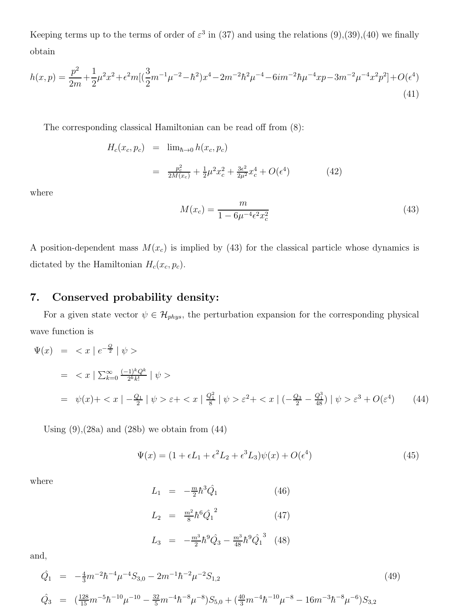Keeping terms up to the terms of order of  $\varepsilon^3$  in (37) and using the relations (9),(39),(40) we finally obtain

$$
h(x,p) = \frac{p^2}{2m} + \frac{1}{2}\mu^2 x^2 + \epsilon^2 m \left[ \left( \frac{3}{2}m^{-1}\mu^{-2} - \hbar^2 \right) x^4 - 2m^{-2}\hbar^2 \mu^{-4} - 6im^{-2}\hbar \mu^{-4}xp - 3m^{-2}\mu^{-4}x^2p^2 \right] + O(\epsilon^4)
$$
\n(41)

The corresponding classical Hamiltonian can be read off from (8):

$$
H_c(x_c, p_c) = \lim_{\hbar \to 0} h(x_c, p_c)
$$
  
= 
$$
\frac{p_c^2}{2M(x_c)} + \frac{1}{2}\mu^2 x_c^2 + \frac{3\epsilon^2}{2\mu^2} x_c^4 + O(\epsilon^4)
$$
(42)

where

$$
M(x_c) = \frac{m}{1 - 6\mu^{-4} \epsilon^2 x_c^2}
$$
\n(43)

A position-dependent mass  $M(x_c)$  is implied by (43) for the classical particle whose dynamics is dictated by the Hamiltonian  $H_c(x_c, p_c)$ .

## 7. Conserved probability density:

For a given state vector  $\psi \in \mathcal{H}_{phys}$ , the perturbation expansion for the corresponding physical wave function is

$$
\Psi(x) = \langle x \mid e^{-\frac{Q}{2}} \mid \psi \rangle
$$
\n
$$
= \langle x \mid \sum_{k=0}^{\infty} \frac{(-1)^k Q^k}{2^k k!} \mid \psi \rangle
$$
\n
$$
= \psi(x) + \langle x \mid -\frac{Q_1}{2} \mid \psi \rangle \epsilon + \langle x \mid \frac{Q_1^2}{8} \mid \psi \rangle \epsilon^2 + \langle x \mid (-\frac{Q_3}{2} - \frac{Q_1^3}{48}) \mid \psi \rangle \epsilon^3 + O(\epsilon^4) \tag{44}
$$

Using  $(9)$ ,  $(28a)$  and  $(28b)$  we obtain from  $(44)$ 

$$
\Psi(x) = (1 + \epsilon L_1 + \epsilon^2 L_2 + \epsilon^3 L_3)\psi(x) + O(\epsilon^4)
$$
\n(45)

where

$$
L_1 = -\frac{m}{2}\hbar^3 \hat{Q}_1
$$
 (46)  
\n
$$
L_2 = \frac{m^2}{8}\hbar^6 \hat{Q}_1^2
$$
 (47)  
\n
$$
L_3 = -\frac{m^3}{2}\hbar^9 \hat{Q}_3 - \frac{m^3}{48}\hbar^9 \hat{Q}_1^3
$$
 (48)

and,

$$
\begin{aligned}\n\hat{Q}_1 &= -\frac{4}{3}m^{-2}\hbar^{-4}\mu^{-4}S_{3,0} - 2m^{-1}\hbar^{-2}\mu^{-2}S_{1,2} \\
\hat{Q}_3 &= (\frac{128}{15}m^{-5}\hbar^{-10}\mu^{-10} - \frac{32}{5}m^{-4}\hbar^{-8}\mu^{-8})S_{5,0} + (\frac{40}{3}m^{-4}\hbar^{-10}\mu^{-8} - 16m^{-3}\hbar^{-8}\mu^{-6})S_{3,2}\n\end{aligned}
$$
\n(49)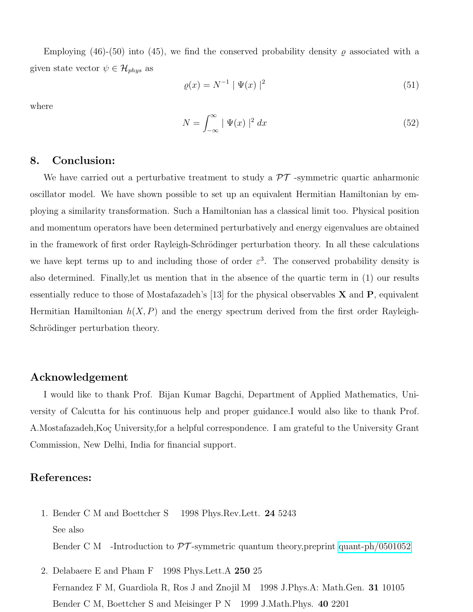Employing (46)-(50) into (45), we find the conserved probability density  $\rho$  associated with a given state vector  $\psi \in \mathcal{H}_{phys}$  as

$$
\varrho(x) = N^{-1} | \Psi(x) |^2 \tag{51}
$$

where

$$
N = \int_{-\infty}^{\infty} \mid \Psi(x) \mid^2 dx \tag{52}
$$

### 8. Conclusion:

We have carried out a perturbative treatment to study a  $\mathcal{PT}$  -symmetric quartic anharmonic oscillator model. We have shown possible to set up an equivalent Hermitian Hamiltonian by employing a similarity transformation. Such a Hamiltonian has a classical limit too. Physical position and momentum operators have been determined perturbatively and energy eigenvalues are obtained in the framework of first order Rayleigh-Schrödinger perturbation theory. In all these calculations we have kept terms up to and including those of order  $\varepsilon^3$ . The conserved probability density is also determined. Finally,let us mention that in the absence of the quartic term in (1) our results essentially reduce to those of Mostafazadeh's [13] for the physical observables  $X$  and  $P$ , equivalent Hermitian Hamiltonian  $h(X, P)$  and the energy spectrum derived from the first order Rayleigh-Schrödinger perturbation theory.

#### Acknowledgement

I would like to thank Prof. Bijan Kumar Bagchi, Department of Applied Mathematics, University of Calcutta for his continuous help and proper guidance.I would also like to thank Prof. A. Mostafazadeh, Koç University, for a helpful correspondence. I am grateful to the University Grant Commission, New Delhi, India for financial support.

## References:

- 1. Bender C M and Boettcher S 1998 Phys.Rev.Lett. 24 5243 See also Bender C M -Introduction to  $\mathcal{PT}$ -symmetric quantum theory, preprint [quant-ph/0501052](http://arxiv.org/abs/quant-ph/0501052)
- 2. Delabaere E and Pham F 1998 Phys. Lett. A 250 25 Fernandez F M, Guardiola R, Ros J and Znojil M 1998 J.Phys.A: Math.Gen. 31 10105 Bender C M, Boettcher S and Meisinger P N 1999 J.Math.Phys. 40 2201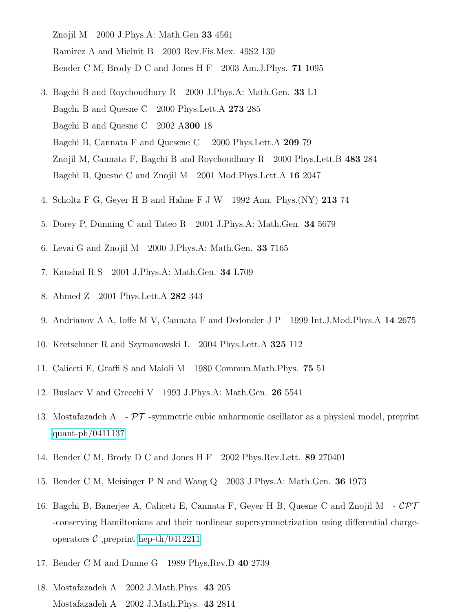Znojil M 2000 J.Phys.A: Math.Gen 33 4561 Ramirez A and Mielnit B 2003 Rev.Fis.Mex. 49S2 130 Bender C M, Brody D C and Jones H F 2003 Am.J.Phys. 71 1095

- 3. Bagchi B and Roychoudhury R 2000 J.Phys.A: Math.Gen. 33 L1 Bagchi B and Quesne C 2000 Phys.Lett.A 273 285 Bagchi B and Quesne C 2002 A300 18 Bagchi B, Cannata F and Quesene C 2000 Phys.Lett.A 209 79 Znojil M, Cannata F, Bagchi B and Roychoudhury R 2000 Phys.Lett.B 483 284 Bagchi B, Quesne C and Znojil M 2001 Mod.Phys.Lett.A 16 2047
- 4. Scholtz F G, Geyer H B and Hahne F J W 1992 Ann. Phys.(NY) 213 74
- 5. Dorey P, Dunning C and Tateo R 2001 J.Phys.A: Math.Gen. 34 5679
- 6. Levai G and Znojil M 2000 J.Phys.A: Math.Gen. 33 7165
- 7. Kaushal R S 2001 J.Phys.A: Math.Gen. 34 L709
- 8. Ahmed Z 2001 Phys.Lett.A 282 343
- 9. Andrianov A A, Ioffe M V, Cannata F and Dedonder J P 1999 Int.J.Mod.Phys.A 14 2675
- 10. Kretschmer R and Szymanowski L 2004 Phys.Lett.A 325 112
- 11. Caliceti E, Graffi S and Maioli M 1980 Commun.Math.Phys. 75 51
- 12. Buslaev V and Grecchi V 1993 J.Phys.A: Math.Gen. 26 5541
- 13. Mostafazadeh A  $\overline{PT}$ -symmetric cubic anharmonic oscillator as a physical model, preprint [quant-ph/0411137](http://arxiv.org/abs/quant-ph/0411137)
- 14. Bender C M, Brody D C and Jones H F 2002 Phys.Rev.Lett. 89 270401
- 15. Bender C M, Meisinger P N and Wang Q 2003 J.Phys.A: Math.Gen. 36 1973
- 16. Bagchi B, Banerjee A, Caliceti E, Cannata F, Geyer H B, Quesne C and Znojil M  $-CPT$ -conserving Hamiltonians and their nonlinear supersymmetrization using differential chargeoperators  $C$ , preprint [hep-th/0412211](http://arxiv.org/abs/hep-th/0412211)
- 17. Bender C M and Dunne G 1989 Phys.Rev.D 40 2739
- 18. Mostafazadeh A 2002 J.Math.Phys. 43 205 Mostafazadeh A 2002 J.Math.Phys. 43 2814